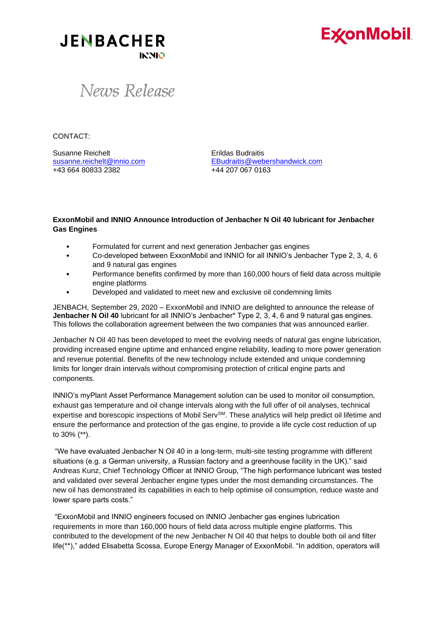

**JENBACHER INNIO** 

### News Release

CONTACT:

Susanne Reichelt **Executed Erildas Budraitis** +43 664 80833 2382 +44 207 067 0163

[susanne.reichelt@innio.com](mailto:susanne.reichelt@innio.com) [EBudraitis@webershandwick.com](mailto:EBudraitis@webershandwick.com)

### **ExxonMobil and INNIO Announce Introduction of Jenbacher N Oil 40 lubricant for Jenbacher Gas Engines**

- Formulated for current and next generation Jenbacher gas engines
- Co-developed between ExxonMobil and INNIO for all INNIO's Jenbacher Type 2, 3, 4, 6 and 9 natural gas engines
- Performance benefits confirmed by more than 160,000 hours of field data across multiple engine platforms
- Developed and validated to meet new and exclusive oil condemning limits

JENBACH, September 29, 2020 – ExxonMobil and INNIO are delighted to announce the release of **Jenbacher N Oil 40** lubricant for all INNIO's Jenbacher\* Type 2, 3, 4, 6 and 9 natural gas engines. This follows the collaboration agreement between the two companies that was announced earlier.

Jenbacher N Oil 40 has been developed to meet the evolving needs of natural gas engine lubrication, providing increased engine uptime and enhanced engine reliability, leading to more power generation and revenue potential. Benefits of the new technology include extended and unique condemning limits for longer drain intervals without compromising protection of critical engine parts and components.

INNIO's myPlant Asset Performance Management solution can be used to monitor oil consumption, exhaust gas temperature and oil change intervals along with the full offer of oil analyses, technical expertise and borescopic inspections of Mobil Serv<sup>SM</sup>. These analytics will help predict oil lifetime and ensure the performance and protection of the gas engine, to provide a life cycle cost reduction of up to 30% (\*\*).

"We have evaluated Jenbacher N Oil 40 in a long-term, multi-site testing programme with different situations (e.g. a German university, a Russian factory and a greenhouse facility in the UK)." said Andreas Kunz, Chief Technology Officer at INNIO Group, "The high performance lubricant was tested and validated over several Jenbacher engine types under the most demanding circumstances. The new oil has demonstrated its capabilities in each to help optimise oil consumption, reduce waste and lower spare parts costs."

"ExxonMobil and INNIO engineers focused on INNIO Jenbacher gas engines lubrication requirements in more than 160,000 hours of field data across multiple engine platforms. This contributed to the development of the new Jenbacher N Oil 40 that helps to double both oil and filter life(\*\*)," added Elisabetta Scossa, Europe Energy Manager of ExxonMobil. "In addition, operators will